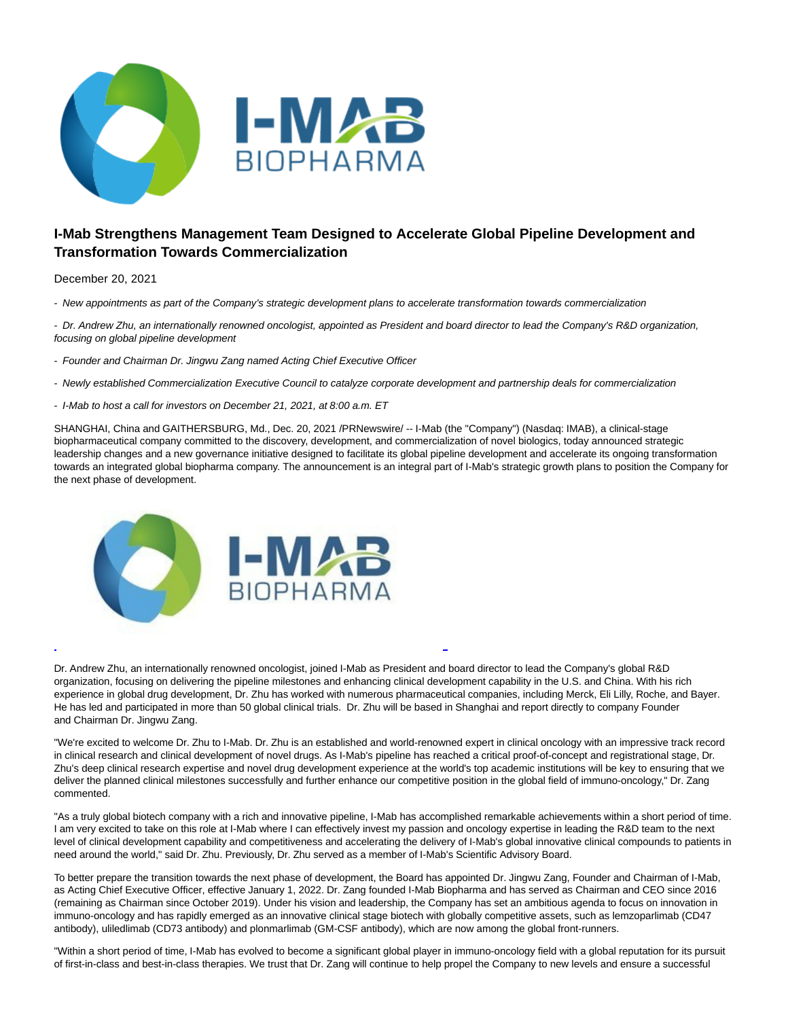

# **I-Mab Strengthens Management Team Designed to Accelerate Global Pipeline Development and Transformation Towards Commercialization**

December 20, 2021

- New appointments as part of the Company's strategic development plans to accelerate transformation towards commercialization

- Dr. Andrew Zhu, an internationally renowned oncologist, appointed as President and board director to lead the Company's R&D organization, focusing on global pipeline development

- Founder and Chairman Dr. Jingwu Zang named Acting Chief Executive Officer
- Newly established Commercialization Executive Council to catalyze corporate development and partnership deals for commercialization
- I-Mab to host a call for investors on December 21, 2021, at 8:00 a.m. ET

SHANGHAI, China and GAITHERSBURG, Md., Dec. 20, 2021 /PRNewswire/ -- I-Mab (the "Company") (Nasdaq: IMAB), a clinical-stage biopharmaceutical company committed to the discovery, development, and commercialization of novel biologics, today announced strategic leadership changes and a new governance initiative designed to facilitate its global pipeline development and accelerate its ongoing transformation towards an integrated global biopharma company. The announcement is an integral part of I-Mab's strategic growth plans to position the Company for the next phase of development.



Dr. Andrew Zhu, an internationally renowned oncologist, joined I-Mab as President and board director to lead the Company's global R&D organization, focusing on delivering the pipeline milestones and enhancing clinical development capability in the U.S. and China. With his rich experience in global drug development, Dr. Zhu has worked with numerous pharmaceutical companies, including Merck, Eli Lilly, Roche, and Bayer. He has led and participated in more than 50 global clinical trials. Dr. Zhu will be based in Shanghai and report directly to company Founder and Chairman Dr. Jingwu Zang.

 $\overline{a}$ 

"We're excited to welcome Dr. Zhu to I-Mab. Dr. Zhu is an established and world-renowned expert in clinical oncology with an impressive track record in clinical research and clinical development of novel drugs. As I-Mab's pipeline has reached a critical proof-of-concept and registrational stage, Dr. Zhu's deep clinical research expertise and novel drug development experience at the world's top academic institutions will be key to ensuring that we deliver the planned clinical milestones successfully and further enhance our competitive position in the global field of immuno-oncology," Dr. Zang commented.

"As a truly global biotech company with a rich and innovative pipeline, I-Mab has accomplished remarkable achievements within a short period of time. I am very excited to take on this role at I-Mab where I can effectively invest my passion and oncology expertise in leading the R&D team to the next level of clinical development capability and competitiveness and accelerating the delivery of I-Mab's global innovative clinical compounds to patients in need around the world," said Dr. Zhu. Previously, Dr. Zhu served as a member of I-Mab's Scientific Advisory Board.

To better prepare the transition towards the next phase of development, the Board has appointed Dr. Jingwu Zang, Founder and Chairman of I-Mab, as Acting Chief Executive Officer, effective January 1, 2022. Dr. Zang founded I-Mab Biopharma and has served as Chairman and CEO since 2016 (remaining as Chairman since October 2019). Under his vision and leadership, the Company has set an ambitious agenda to focus on innovation in immuno-oncology and has rapidly emerged as an innovative clinical stage biotech with globally competitive assets, such as lemzoparlimab (CD47 antibody), uliledlimab (CD73 antibody) and plonmarlimab (GM-CSF antibody), which are now among the global front-runners.

"Within a short period of time, I-Mab has evolved to become a significant global player in immuno-oncology field with a global reputation for its pursuit of first-in-class and best-in-class therapies. We trust that Dr. Zang will continue to help propel the Company to new levels and ensure a successful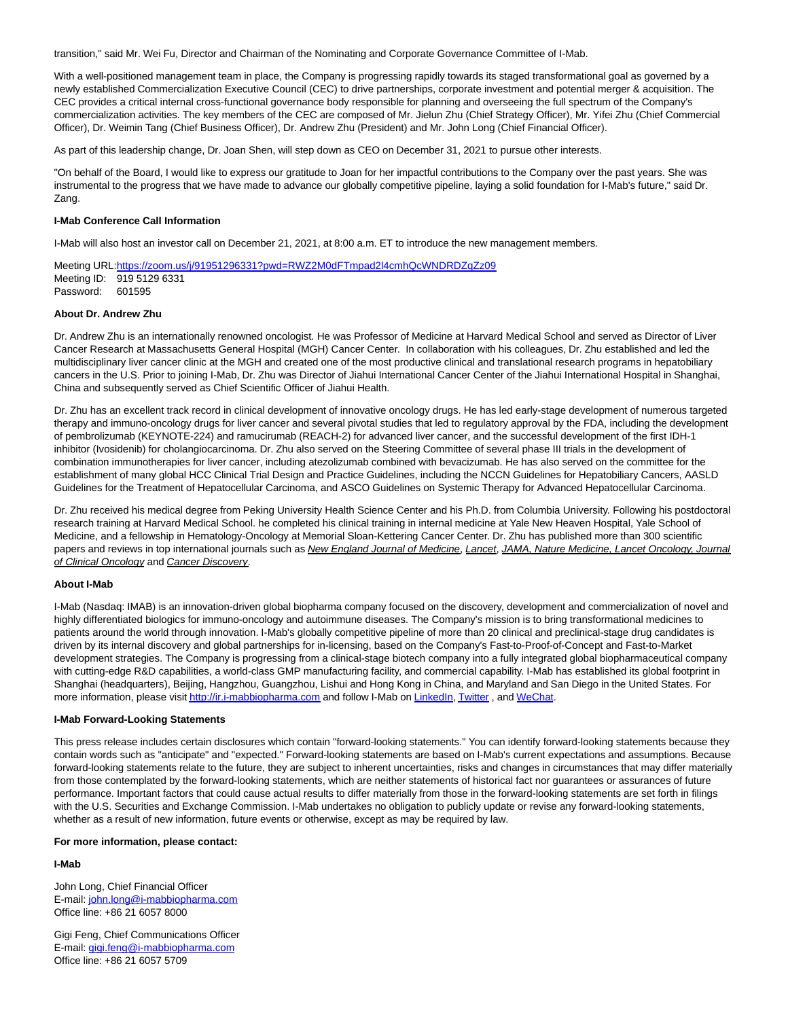transition," said Mr. Wei Fu, Director and Chairman of the Nominating and Corporate Governance Committee of I-Mab.

With a well-positioned management team in place, the Company is progressing rapidly towards its staged transformational goal as governed by a newly established Commercialization Executive Council (CEC) to drive partnerships, corporate investment and potential merger & acquisition. The CEC provides a critical internal cross-functional governance body responsible for planning and overseeing the full spectrum of the Company's commercialization activities. The key members of the CEC are composed of Mr. Jielun Zhu (Chief Strategy Officer), Mr. Yifei Zhu (Chief Commercial Officer), Dr. Weimin Tang (Chief Business Officer), Dr. Andrew Zhu (President) and Mr. John Long (Chief Financial Officer).

As part of this leadership change, Dr. Joan Shen, will step down as CEO on December 31, 2021 to pursue other interests.

"On behalf of the Board, I would like to express our gratitude to Joan for her impactful contributions to the Company over the past years. She was instrumental to the progress that we have made to advance our globally competitive pipeline, laying a solid foundation for I-Mab's future," said Dr. Zang.

### **I-Mab Conference Call Information**

I-Mab will also host an investor call on December 21, 2021, at 8:00 a.m. ET to introduce the new management members.

Meeting URL[:https://zoom.us/j/91951296331?pwd=RWZ2M0dFTmpad2l4cmhQcWNDRDZqZz09](https://zoom.us/j/91951296331?pwd=RWZ2M0dFTmpad2l4cmhQcWNDRDZqZz09) Meeting ID: 919 5129 6331 Password: 601595

#### **About Dr. Andrew Zhu**

Dr. Andrew Zhu is an internationally renowned oncologist. He was Professor of Medicine at Harvard Medical School and served as Director of Liver Cancer Research at Massachusetts General Hospital (MGH) Cancer Center. In collaboration with his colleagues, Dr. Zhu established and led the multidisciplinary liver cancer clinic at the MGH and created one of the most productive clinical and translational research programs in hepatobiliary cancers in the U.S. Prior to joining I-Mab, Dr. Zhu was Director of Jiahui International Cancer Center of the Jiahui International Hospital in Shanghai, China and subsequently served as Chief Scientific Officer of Jiahui Health.

Dr. Zhu has an excellent track record in clinical development of innovative oncology drugs. He has led early-stage development of numerous targeted therapy and immuno-oncology drugs for liver cancer and several pivotal studies that led to regulatory approval by the FDA, including the development of pembrolizumab (KEYNOTE-224) and ramucirumab (REACH-2) for advanced liver cancer, and the successful development of the first IDH-1 inhibitor (Ivosidenib) for cholangiocarcinoma. Dr. Zhu also served on the Steering Committee of several phase III trials in the development of combination immunotherapies for liver cancer, including atezolizumab combined with bevacizumab. He has also served on the committee for the establishment of many global HCC Clinical Trial Design and Practice Guidelines, including the NCCN Guidelines for Hepatobiliary Cancers, AASLD Guidelines for the Treatment of Hepatocellular Carcinoma, and ASCO Guidelines on Systemic Therapy for Advanced Hepatocellular Carcinoma.

Dr. Zhu received his medical degree from Peking University Health Science Center and his Ph.D. from Columbia University. Following his postdoctoral research training at Harvard Medical School. he completed his clinical training in internal medicine at Yale New Heaven Hospital, Yale School of Medicine, and a fellowship in Hematology-Oncology at Memorial Sloan-Kettering Cancer Center. Dr. Zhu has published more than 300 scientific papers and reviews in top international journals such as New England Journal of Medicine, Lancet, JAMA, Nature Medicine, Lancet Oncology, Journal of Clinical Oncology and Cancer Discovery.

#### **About I-Mab**

I-Mab (Nasdaq: IMAB) is an innovation-driven global biopharma company focused on the discovery, development and commercialization of novel and highly differentiated biologics for immuno-oncology and autoimmune diseases. The Company's mission is to bring transformational medicines to patients around the world through innovation. I-Mab's globally competitive pipeline of more than 20 clinical and preclinical-stage drug candidates is driven by its internal discovery and global partnerships for in-licensing, based on the Company's Fast-to-Proof-of-Concept and Fast-to-Market development strategies. The Company is progressing from a clinical-stage biotech company into a fully integrated global biopharmaceutical company with cutting-edge R&D capabilities, a world-class GMP manufacturing facility, and commercial capability. I-Mab has established its global footprint in Shanghai (headquarters), Beijing, Hangzhou, Guangzhou, Lishui and Hong Kong in China, and Maryland and San Diego in the United States. For more information, please visi[t http://ir.i-mabbiopharma.com a](http://ir.i-mabbiopharma.com/)nd follow I-Mab on [LinkedIn,](https://www.linkedin.com/company/i-mab/) Twitter, and [WeChat.](https://mp.weixin.qq.com/s/_s634aizyQPuq1Vgf-hLGA)

#### **I-Mab Forward-Looking Statements**

This press release includes certain disclosures which contain "forward-looking statements." You can identify forward-looking statements because they contain words such as "anticipate" and "expected." Forward-looking statements are based on I-Mab's current expectations and assumptions. Because forward-looking statements relate to the future, they are subject to inherent uncertainties, risks and changes in circumstances that may differ materially from those contemplated by the forward-looking statements, which are neither statements of historical fact nor guarantees or assurances of future performance. Important factors that could cause actual results to differ materially from those in the forward-looking statements are set forth in filings with the U.S. Securities and Exchange Commission. I-Mab undertakes no obligation to publicly update or revise any forward-looking statements, whether as a result of new information, future events or otherwise, except as may be required by law.

#### **For more information, please contact:**

## **I-Mab**

John Long, Chief Financial Officer E-mail: [john.long@i-mabbiopharma.com](mailto:john.long@i-mabbiopharma.com)  Office line: +86 21 6057 8000

Gigi Feng, Chief Communications Officer E-mail: [gigi.feng@i-mabbiopharma.com](mailto:gigi.feng@i-mabbiopharma.com) Office line: +86 21 6057 5709